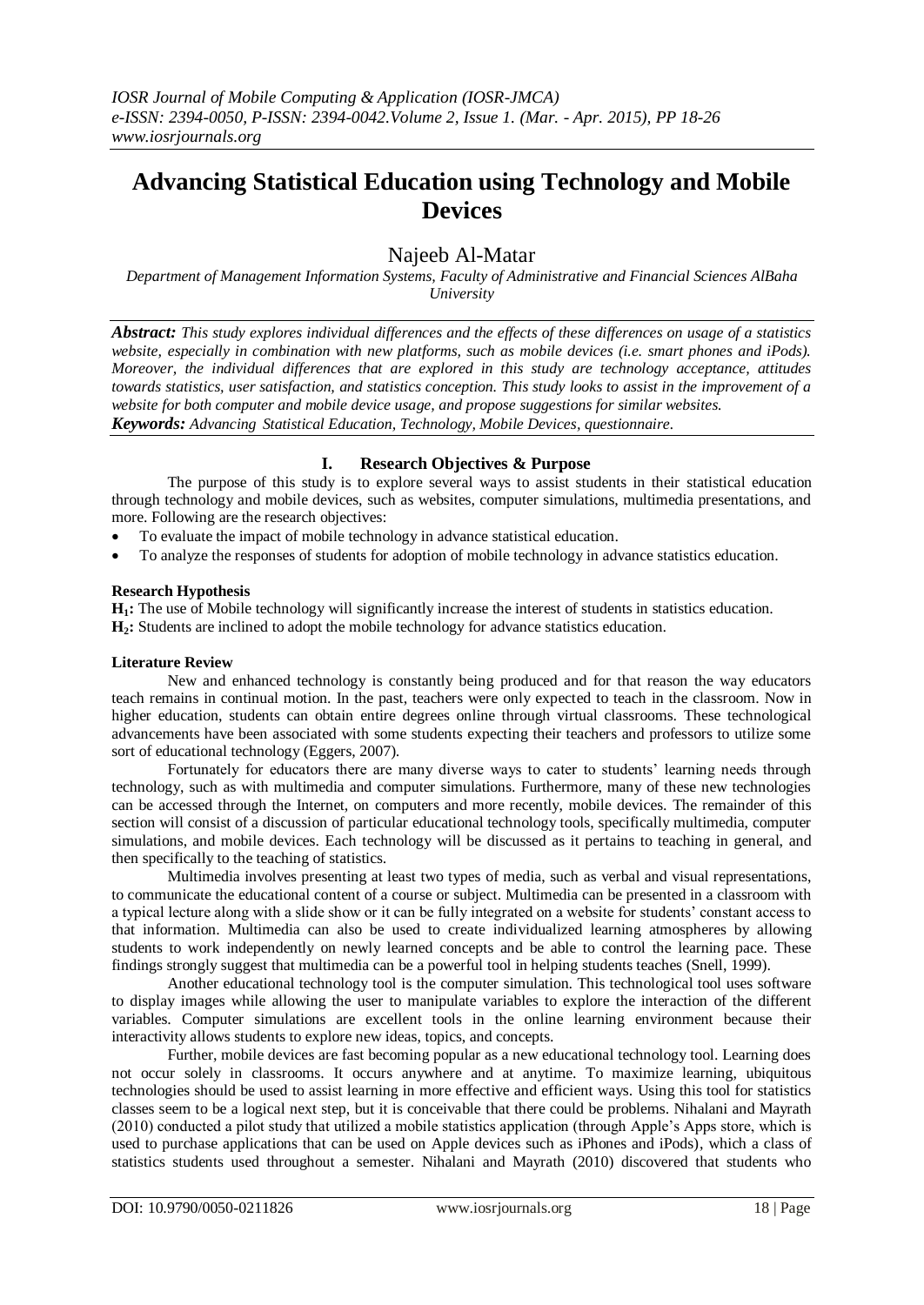# **Advancing Statistical Education using Technology and Mobile Devices**

## Najeeb Al-Matar

*Department of Management Information Systems, Faculty of Administrative and Financial Sciences AlBaha University*

*Abstract: This study explores individual differences and the effects of these differences on usage of a statistics website, especially in combination with new platforms, such as mobile devices (i.e. smart phones and iPods). Moreover, the individual differences that are explored in this study are technology acceptance, attitudes towards statistics, user satisfaction, and statistics conception. This study looks to assist in the improvement of a website for both computer and mobile device usage, and propose suggestions for similar websites. Keywords: Advancing Statistical Education, Technology, Mobile Devices, questionnaire.*

## **I. Research Objectives & Purpose**

The purpose of this study is to explore several ways to assist students in their statistical education through technology and mobile devices, such as websites, computer simulations, multimedia presentations, and more. Following are the research objectives:

- To evaluate the impact of mobile technology in advance statistical education.
- To analyze the responses of students for adoption of mobile technology in advance statistics education.

#### **Research Hypothesis**

**H1:** The use of Mobile technology will significantly increase the interest of students in statistics education. **H2:** Students are inclined to adopt the mobile technology for advance statistics education.

#### **Literature Review**

New and enhanced technology is constantly being produced and for that reason the way educators teach remains in continual motion. In the past, teachers were only expected to teach in the classroom. Now in higher education, students can obtain entire degrees online through virtual classrooms. These technological advancements have been associated with some students expecting their teachers and professors to utilize some sort of educational technology (Eggers, 2007).

Fortunately for educators there are many diverse ways to cater to students' learning needs through technology, such as with multimedia and computer simulations. Furthermore, many of these new technologies can be accessed through the Internet, on computers and more recently, mobile devices. The remainder of this section will consist of a discussion of particular educational technology tools, specifically multimedia, computer simulations, and mobile devices. Each technology will be discussed as it pertains to teaching in general, and then specifically to the teaching of statistics.

Multimedia involves presenting at least two types of media, such as verbal and visual representations, to communicate the educational content of a course or subject. Multimedia can be presented in a classroom with a typical lecture along with a slide show or it can be fully integrated on a website for students' constant access to that information. Multimedia can also be used to create individualized learning atmospheres by allowing students to work independently on newly learned concepts and be able to control the learning pace. These findings strongly suggest that multimedia can be a powerful tool in helping students teaches (Snell, 1999).

Another educational technology tool is the computer simulation. This technological tool uses software to display images while allowing the user to manipulate variables to explore the interaction of the different variables. Computer simulations are excellent tools in the online learning environment because their interactivity allows students to explore new ideas, topics, and concepts.

Further, mobile devices are fast becoming popular as a new educational technology tool. Learning does not occur solely in classrooms. It occurs anywhere and at anytime. To maximize learning, ubiquitous technologies should be used to assist learning in more effective and efficient ways. Using this tool for statistics classes seem to be a logical next step, but it is conceivable that there could be problems. Nihalani and Mayrath (2010) conducted a pilot study that utilized a mobile statistics application (through Apple's Apps store, which is used to purchase applications that can be used on Apple devices such as iPhones and iPods), which a class of statistics students used throughout a semester. Nihalani and Mayrath (2010) discovered that students who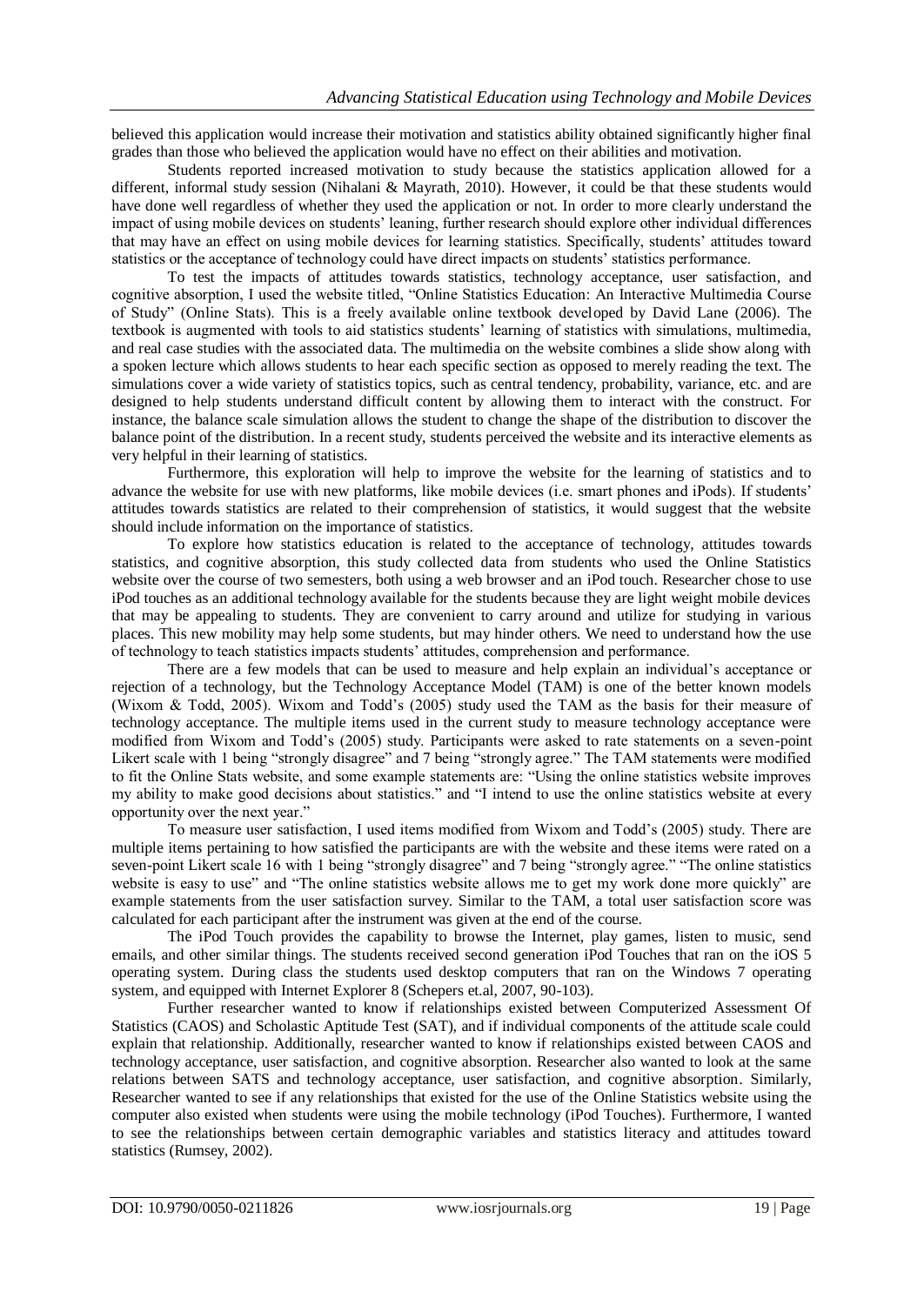believed this application would increase their motivation and statistics ability obtained significantly higher final grades than those who believed the application would have no effect on their abilities and motivation.

Students reported increased motivation to study because the statistics application allowed for a different, informal study session (Nihalani & Mayrath, 2010). However, it could be that these students would have done well regardless of whether they used the application or not. In order to more clearly understand the impact of using mobile devices on students' leaning, further research should explore other individual differences that may have an effect on using mobile devices for learning statistics. Specifically, students' attitudes toward statistics or the acceptance of technology could have direct impacts on students' statistics performance.

To test the impacts of attitudes towards statistics, technology acceptance, user satisfaction, and cognitive absorption, I used the website titled, "Online Statistics Education: An Interactive Multimedia Course of Study" (Online Stats). This is a freely available online textbook developed by David Lane (2006). The textbook is augmented with tools to aid statistics students' learning of statistics with simulations, multimedia, and real case studies with the associated data. The multimedia on the website combines a slide show along with a spoken lecture which allows students to hear each specific section as opposed to merely reading the text. The simulations cover a wide variety of statistics topics, such as central tendency, probability, variance, etc. and are designed to help students understand difficult content by allowing them to interact with the construct. For instance, the balance scale simulation allows the student to change the shape of the distribution to discover the balance point of the distribution. In a recent study, students perceived the website and its interactive elements as very helpful in their learning of statistics.

Furthermore, this exploration will help to improve the website for the learning of statistics and to advance the website for use with new platforms, like mobile devices (i.e. smart phones and iPods). If students' attitudes towards statistics are related to their comprehension of statistics, it would suggest that the website should include information on the importance of statistics.

To explore how statistics education is related to the acceptance of technology, attitudes towards statistics, and cognitive absorption, this study collected data from students who used the Online Statistics website over the course of two semesters, both using a web browser and an iPod touch. Researcher chose to use iPod touches as an additional technology available for the students because they are light weight mobile devices that may be appealing to students. They are convenient to carry around and utilize for studying in various places. This new mobility may help some students, but may hinder others. We need to understand how the use of technology to teach statistics impacts students' attitudes, comprehension and performance.

There are a few models that can be used to measure and help explain an individual's acceptance or rejection of a technology, but the Technology Acceptance Model (TAM) is one of the better known models (Wixom & Todd, 2005). Wixom and Todd's (2005) study used the TAM as the basis for their measure of technology acceptance. The multiple items used in the current study to measure technology acceptance were modified from Wixom and Todd's (2005) study. Participants were asked to rate statements on a seven-point Likert scale with 1 being "strongly disagree" and 7 being "strongly agree." The TAM statements were modified to fit the Online Stats website, and some example statements are: "Using the online statistics website improves my ability to make good decisions about statistics." and "I intend to use the online statistics website at every opportunity over the next year."

To measure user satisfaction, I used items modified from Wixom and Todd's (2005) study. There are multiple items pertaining to how satisfied the participants are with the website and these items were rated on a seven-point Likert scale 16 with 1 being "strongly disagree" and 7 being "strongly agree." "The online statistics website is easy to use" and "The online statistics website allows me to get my work done more quickly" are example statements from the user satisfaction survey. Similar to the TAM, a total user satisfaction score was calculated for each participant after the instrument was given at the end of the course.

The iPod Touch provides the capability to browse the Internet, play games, listen to music, send emails, and other similar things. The students received second generation iPod Touches that ran on the iOS 5 operating system. During class the students used desktop computers that ran on the Windows 7 operating system, and equipped with Internet Explorer 8 (Schepers et.al, 2007, 90-103).

Further researcher wanted to know if relationships existed between Computerized Assessment Of Statistics (CAOS) and Scholastic Aptitude Test (SAT), and if individual components of the attitude scale could explain that relationship. Additionally, researcher wanted to know if relationships existed between CAOS and technology acceptance, user satisfaction, and cognitive absorption. Researcher also wanted to look at the same relations between SATS and technology acceptance, user satisfaction, and cognitive absorption. Similarly, Researcher wanted to see if any relationships that existed for the use of the Online Statistics website using the computer also existed when students were using the mobile technology (iPod Touches). Furthermore, I wanted to see the relationships between certain demographic variables and statistics literacy and attitudes toward statistics (Rumsey, 2002).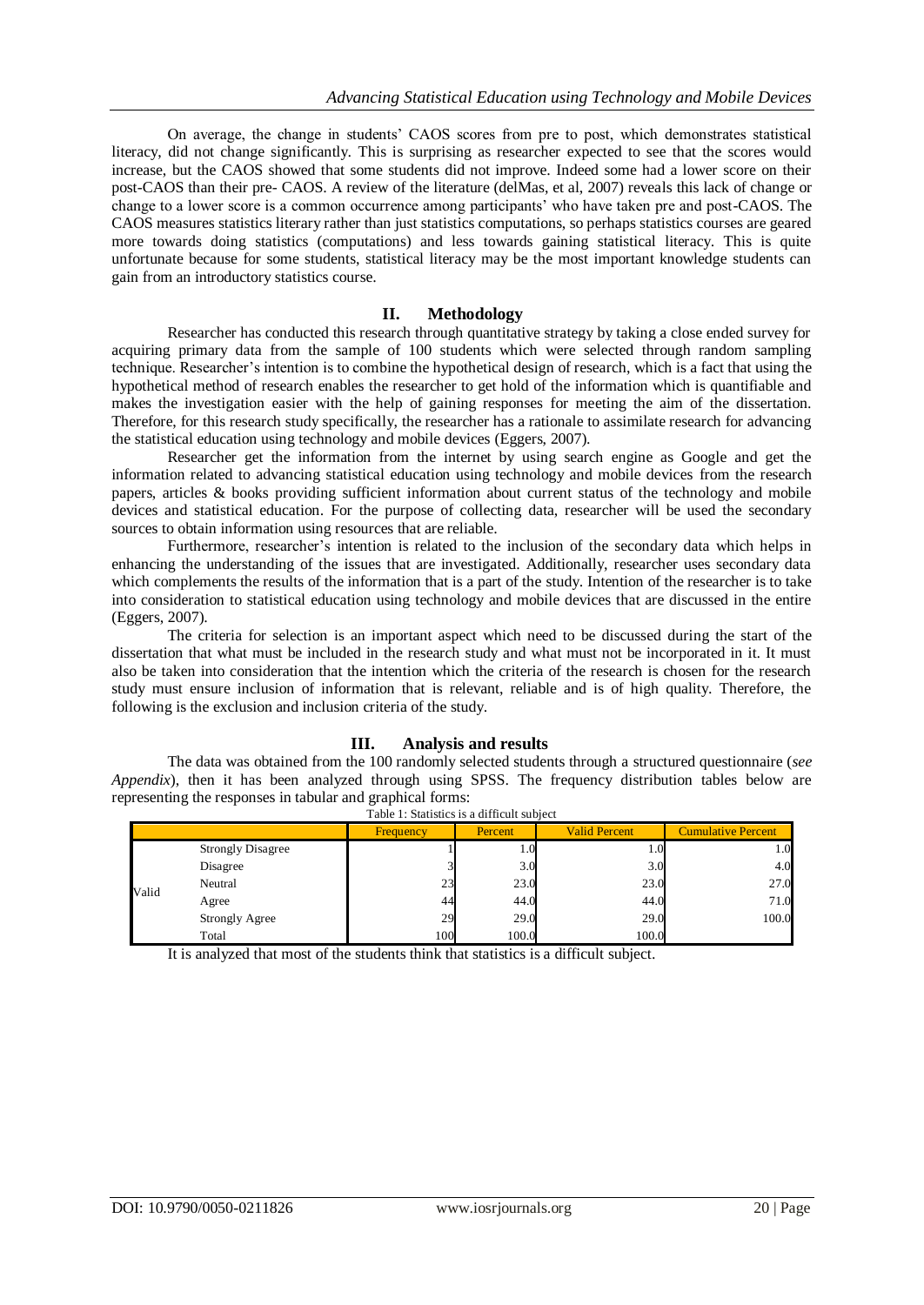On average, the change in students' CAOS scores from pre to post, which demonstrates statistical literacy, did not change significantly. This is surprising as researcher expected to see that the scores would increase, but the CAOS showed that some students did not improve. Indeed some had a lower score on their post-CAOS than their pre- CAOS. A review of the literature (delMas, et al, 2007) reveals this lack of change or change to a lower score is a common occurrence among participants' who have taken pre and post-CAOS. The CAOS measures statistics literary rather than just statistics computations, so perhaps statistics courses are geared more towards doing statistics (computations) and less towards gaining statistical literacy. This is quite unfortunate because for some students, statistical literacy may be the most important knowledge students can gain from an introductory statistics course.

#### **II. Methodology**

Researcher has conducted this research through quantitative strategy by taking a close ended survey for acquiring primary data from the sample of 100 students which were selected through random sampling technique. Researcher's intention is to combine the hypothetical design of research, which is a fact that using the hypothetical method of research enables the researcher to get hold of the information which is quantifiable and makes the investigation easier with the help of gaining responses for meeting the aim of the dissertation. Therefore, for this research study specifically, the researcher has a rationale to assimilate research for advancing the statistical education using technology and mobile devices (Eggers, 2007).

Researcher get the information from the internet by using search engine as Google and get the information related to advancing statistical education using technology and mobile devices from the research papers, articles & books providing sufficient information about current status of the technology and mobile devices and statistical education. For the purpose of collecting data, researcher will be used the secondary sources to obtain information using resources that are reliable.

Furthermore, researcher's intention is related to the inclusion of the secondary data which helps in enhancing the understanding of the issues that are investigated. Additionally, researcher uses secondary data which complements the results of the information that is a part of the study. Intention of the researcher is to take into consideration to statistical education using technology and mobile devices that are discussed in the entire (Eggers, 2007).

The criteria for selection is an important aspect which need to be discussed during the start of the dissertation that what must be included in the research study and what must not be incorporated in it. It must also be taken into consideration that the intention which the criteria of the research is chosen for the research study must ensure inclusion of information that is relevant, reliable and is of high quality. Therefore, the following is the exclusion and inclusion criteria of the study.

### **III. Analysis and results**

The data was obtained from the 100 randomly selected students through a structured questionnaire (*see Appendix*), then it has been analyzed through using SPSS. The frequency distribution tables below are representing the responses in tabular and graphical forms:

|       |                          | Frequency | Percent | <b>Valid Percent</b> | <b>Cumulative Percent</b> |  |  |  |  |
|-------|--------------------------|-----------|---------|----------------------|---------------------------|--|--|--|--|
|       | <b>Strongly Disagree</b> |           | 1.0     | 1.U                  | 1.0                       |  |  |  |  |
|       | Disagree                 |           | 3.0     | 3.0                  | 4.0                       |  |  |  |  |
|       | Neutral                  | 23        | 23.0    | 23.0                 | 27.0                      |  |  |  |  |
| Valid | Agree                    | 44        | 44.0    | 44.0                 | 71.0                      |  |  |  |  |
|       | <b>Strongly Agree</b>    | 29        | 29.0    | 29.0                 | 100.0                     |  |  |  |  |
|       | Total                    | 100       | 100.0   | 100.0                |                           |  |  |  |  |

Table 1: Statistics is a difficult subject

It is analyzed that most of the students think that statistics is a difficult subject.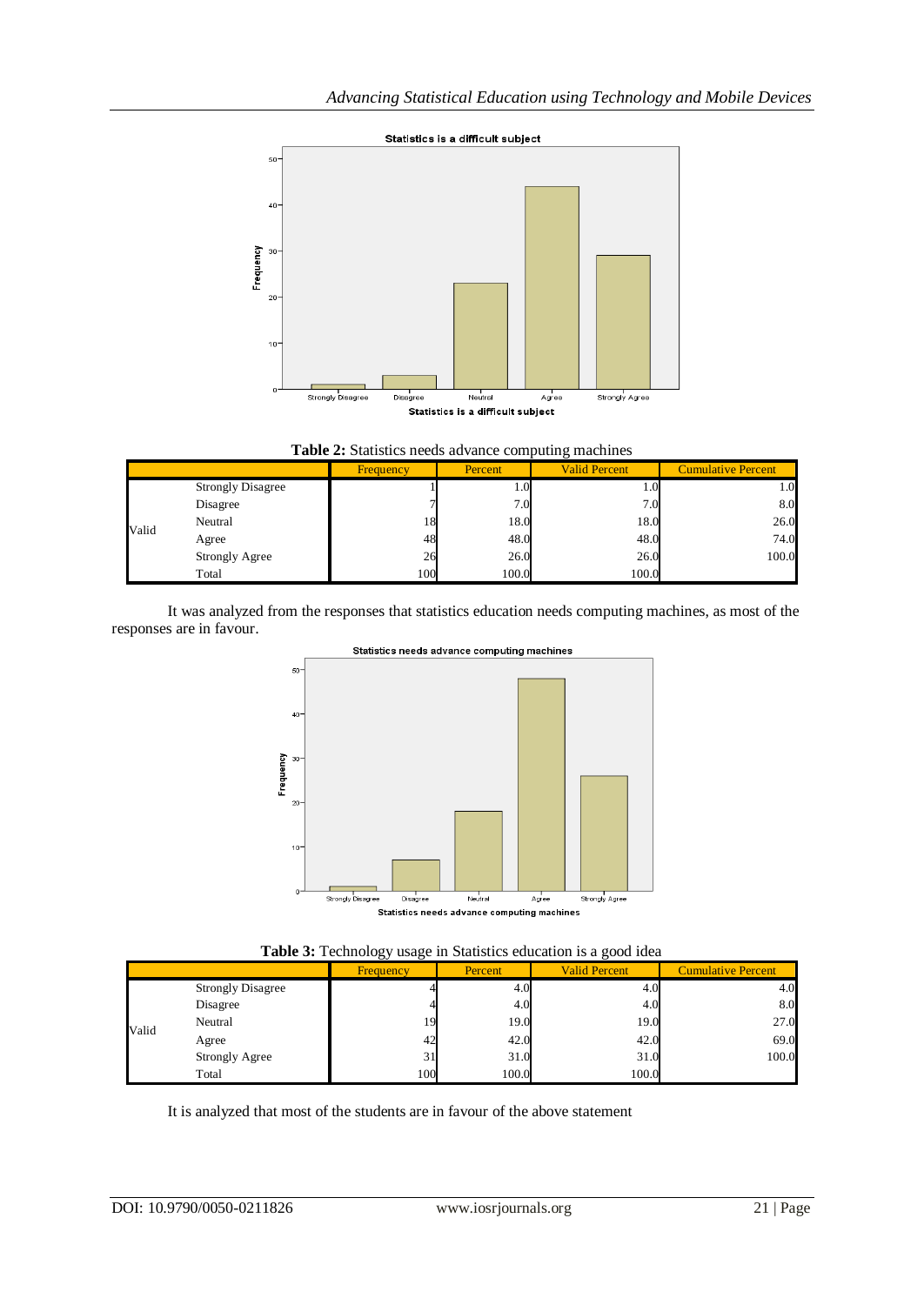

|  |  |  |  | Table 2: Statistics needs advance computing machines |  |
|--|--|--|--|------------------------------------------------------|--|
|--|--|--|--|------------------------------------------------------|--|

|       |                          | Percent<br><b>Frequency</b> |       | <b>Valid Percent</b> | <b>Cumulative Percent</b> |  |
|-------|--------------------------|-----------------------------|-------|----------------------|---------------------------|--|
|       | <b>Strongly Disagree</b> |                             | 1.0   | 1.U                  | 1.0                       |  |
|       | Disagree                 |                             | 7.0   | 7.0 <sub>l</sub>     | 8.0                       |  |
|       | Neutral                  | 18                          | 18.0  | 18.0                 | 26.0                      |  |
| Valid | Agree                    | 48                          | 48.0  | 48.0                 | 74.0                      |  |
|       | <b>Strongly Agree</b>    | 26                          | 26.0  | 26.0                 | 100.0                     |  |
|       | Total                    | 100                         | 100.0 | 100.0                |                           |  |

It was analyzed from the responses that statistics education needs computing machines, as most of the responses are in favour.



Statistics needs advance computing machines

| Table 3: Technology usage in Statistics education is a good idea |  |  |  |  |  |  |  |
|------------------------------------------------------------------|--|--|--|--|--|--|--|
|------------------------------------------------------------------|--|--|--|--|--|--|--|

|       | ెల<br>⋯                  |                  |         |                      |                           |  |  |  |  |  |
|-------|--------------------------|------------------|---------|----------------------|---------------------------|--|--|--|--|--|
|       |                          | <b>Frequency</b> | Percent | <b>Valid Percent</b> | <b>Cumulative Percent</b> |  |  |  |  |  |
|       | <b>Strongly Disagree</b> |                  | 4.0     | 4.0                  | 4.0                       |  |  |  |  |  |
|       | Disagree                 |                  | 4.0     | 4.0                  | 8.0                       |  |  |  |  |  |
| Valid | Neutral                  | 19               | 19.0    | 19.0                 | 27.0                      |  |  |  |  |  |
|       | Agree                    | 42               | 42.0    | 42.0                 | 69.0                      |  |  |  |  |  |
|       | <b>Strongly Agree</b>    | 31               | 31.0    | 31.0                 | 100.0                     |  |  |  |  |  |
|       | Total                    | 100              | 100.0   | 100.0                |                           |  |  |  |  |  |

It is analyzed that most of the students are in favour of the above statement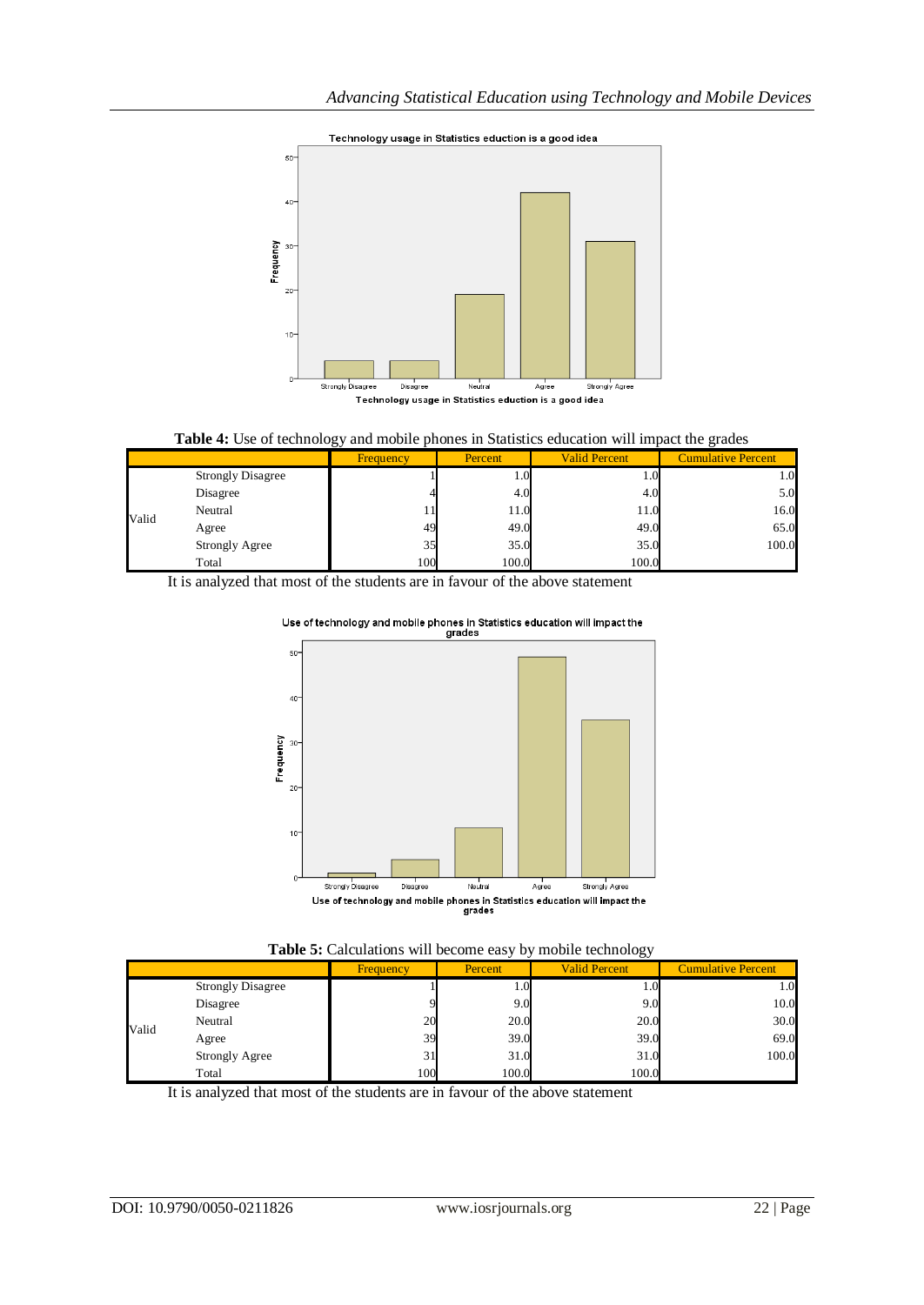



|       |                          | ັັ               |                  |                      |                           |
|-------|--------------------------|------------------|------------------|----------------------|---------------------------|
|       |                          | <b>Frequency</b> | Percent          | <b>Valid Percent</b> | <b>Cumulative Percent</b> |
|       | <b>Strongly Disagree</b> |                  | 1.0 <sub>l</sub> | 0.1                  | 0.1                       |
|       | Disagree                 |                  | 4.0              | 4.0                  | 5.0                       |
| Valid | Neutral                  |                  | 11.0             | 11.0                 | 16.0                      |
|       | Agree                    | 49               | 49.0             | 49.0                 | 65.0                      |
|       | <b>Strongly Agree</b>    | 35               | 35.0             | 35.0                 | 100.0                     |
|       | Total                    | 100              | 100.0            | 100.0                |                           |

It is analyzed that most of the students are in favour of the above statement



# Use of technology and mobile phones in Statistics education will impact the<br>grades



|       | ాల                       |                  |         |                      |                           |  |  |  |  |
|-------|--------------------------|------------------|---------|----------------------|---------------------------|--|--|--|--|
|       |                          | <b>Frequency</b> | Percent | <b>Valid Percent</b> | <b>Cumulative Percent</b> |  |  |  |  |
|       | <b>Strongly Disagree</b> |                  | 1.0     | $1.0^{\circ}$        | 0.1                       |  |  |  |  |
|       | Disagree                 |                  | 9.0     | 9.0                  | 10.0                      |  |  |  |  |
|       | Neutral                  | 20               | 20.0    | 20.0                 | 30.0                      |  |  |  |  |
| Valid | Agree                    | 39               | 39.0    | 39.0                 | 69.0                      |  |  |  |  |
|       | <b>Strongly Agree</b>    | 31               | 31.0    | 31.0                 | 100.0                     |  |  |  |  |
|       | Total                    | 100              | 100.0   | 100.0                |                           |  |  |  |  |

It is analyzed that most of the students are in favour of the above statement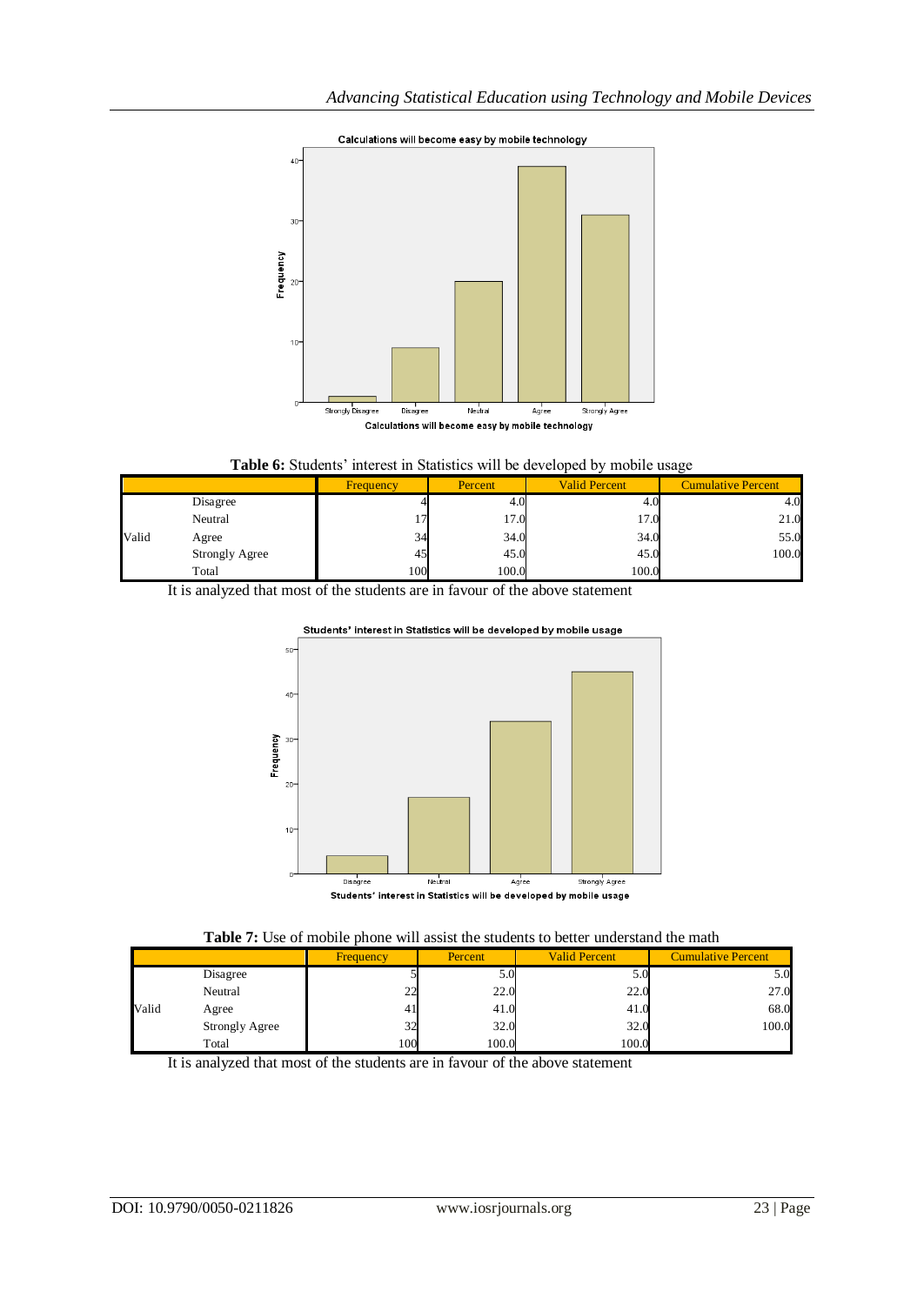

#### **Table 6:** Students' interest in Statistics will be developed by mobile usage

|       |                       | <b>Frequency</b> | Percent | <b>Valid Percent</b> | <b>Cumulative Percent</b> |
|-------|-----------------------|------------------|---------|----------------------|---------------------------|
|       | Disagree              |                  | 4.U     | 4.V                  | 4.0                       |
|       | Neutral               |                  | 17.0    | 17.0                 | 21.0                      |
| Valid | Agree                 | 34               | 34.0    | 34.0                 | 55.0                      |
|       | <b>Strongly Agree</b> | 45               | 45.0    | 45.0                 | 100.0                     |
|       | Total                 | 100              | 100.0   | 100.0                |                           |

It is analyzed that most of the students are in favour of the above statement





#### **Table 7:** Use of mobile phone will assist the students to better understand the math

|       |                       | <b>Frequency</b> | Percent | <b>Valid Percent</b> | <b>Cumulative Percent</b> |
|-------|-----------------------|------------------|---------|----------------------|---------------------------|
|       | Disagree              |                  | 5.0     | D.U                  | 5.0                       |
|       | Neutral               | $\mathcal{L}$    | 22.0    | 22.0                 | 27.0                      |
| Valid | Agree                 |                  | 41.0    | 41.0                 | 68.0                      |
|       | <b>Strongly Agree</b> | 32               | 32.0    | 32.0                 | 100.0                     |
|       | Total                 | 100              | 100.0   | 100.0                |                           |

It is analyzed that most of the students are in favour of the above statement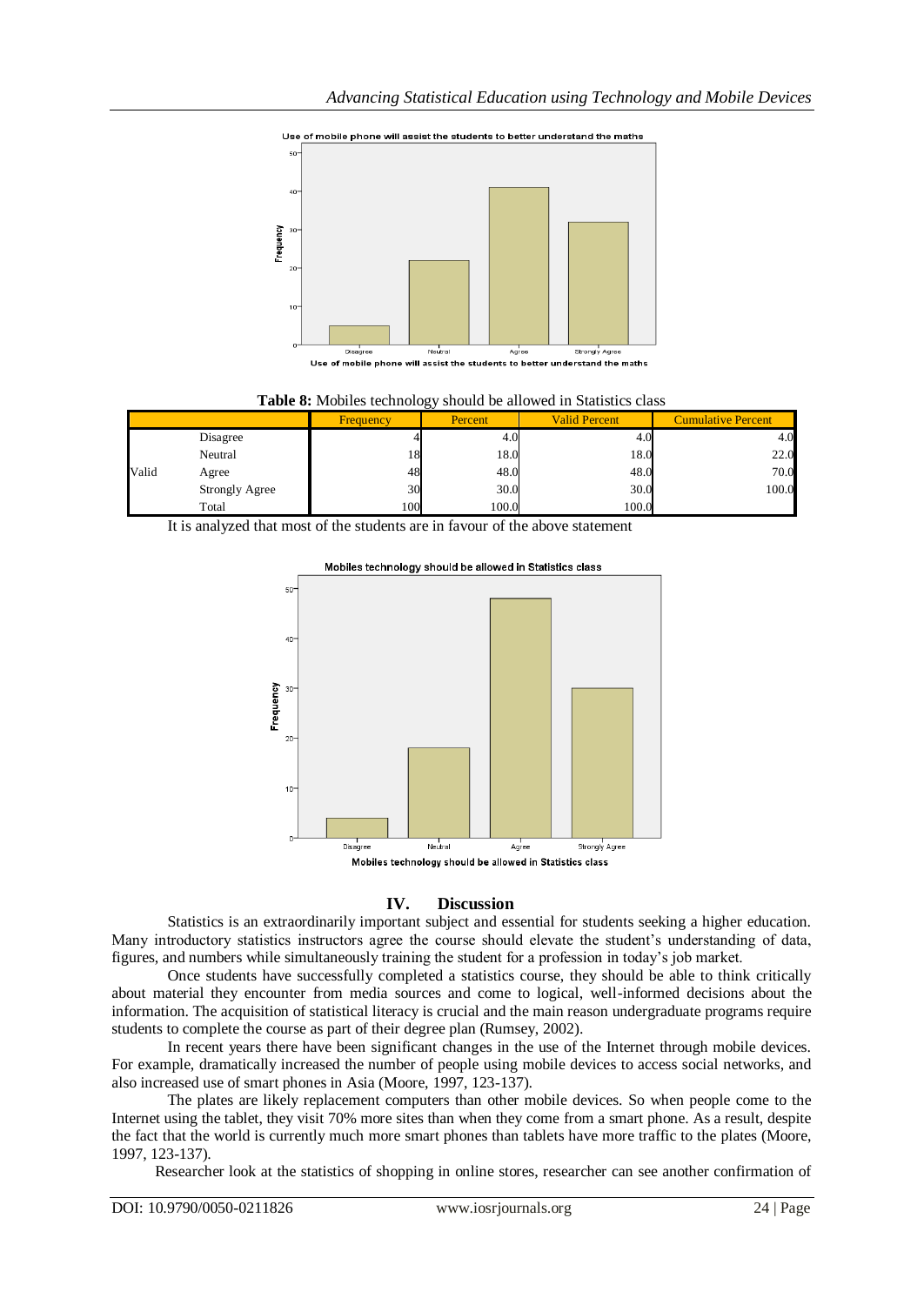

Use of mobile phone will assist the students to better understand the maths

Use of mobile phone will assist the students to better understand the maths

| ັ     |                       |           |         |                      |                           |  |  |  |
|-------|-----------------------|-----------|---------|----------------------|---------------------------|--|--|--|
|       |                       | Frequency | Percent | <b>Valid Percent</b> | <b>Cumulative Percent</b> |  |  |  |
|       | Disagree              |           | 4.0     | 4.1                  | 4.0                       |  |  |  |
|       | Neutral               | 18        | 18.0    | 18.0                 | 22.0                      |  |  |  |
| Valid | Agree                 | 48        | 48.0    | 48.0                 | 70.0                      |  |  |  |
|       | <b>Strongly Agree</b> | 30        | 30.0    | 30.0                 | 100.0                     |  |  |  |
|       | Total                 | 100       | 100.0   | 100.0                |                           |  |  |  |

**Table 8:** Mobiles technology should be allowed in Statistics class

It is analyzed that most of the students are in favour of the above statement



Mobiles technology should be allowed in Statistics class

#### **IV. Discussion**

Statistics is an extraordinarily important subject and essential for students seeking a higher education. Many introductory statistics instructors agree the course should elevate the student's understanding of data, figures, and numbers while simultaneously training the student for a profession in today's job market.

Once students have successfully completed a statistics course, they should be able to think critically about material they encounter from media sources and come to logical, well-informed decisions about the information. The acquisition of statistical literacy is crucial and the main reason undergraduate programs require students to complete the course as part of their degree plan (Rumsey, 2002).

In recent years there have been significant changes in the use of the Internet through mobile devices. For example, dramatically increased the number of people using mobile devices to access social networks, and also increased use of smart phones in Asia (Moore, 1997, 123-137).

The plates are likely replacement computers than other mobile devices. So when people come to the Internet using the tablet, they visit 70% more sites than when they come from a smart phone. As a result, despite the fact that the world is currently much more smart phones than tablets have more traffic to the plates (Moore, 1997, 123-137).

Researcher look at the statistics of shopping in online stores, researcher can see another confirmation of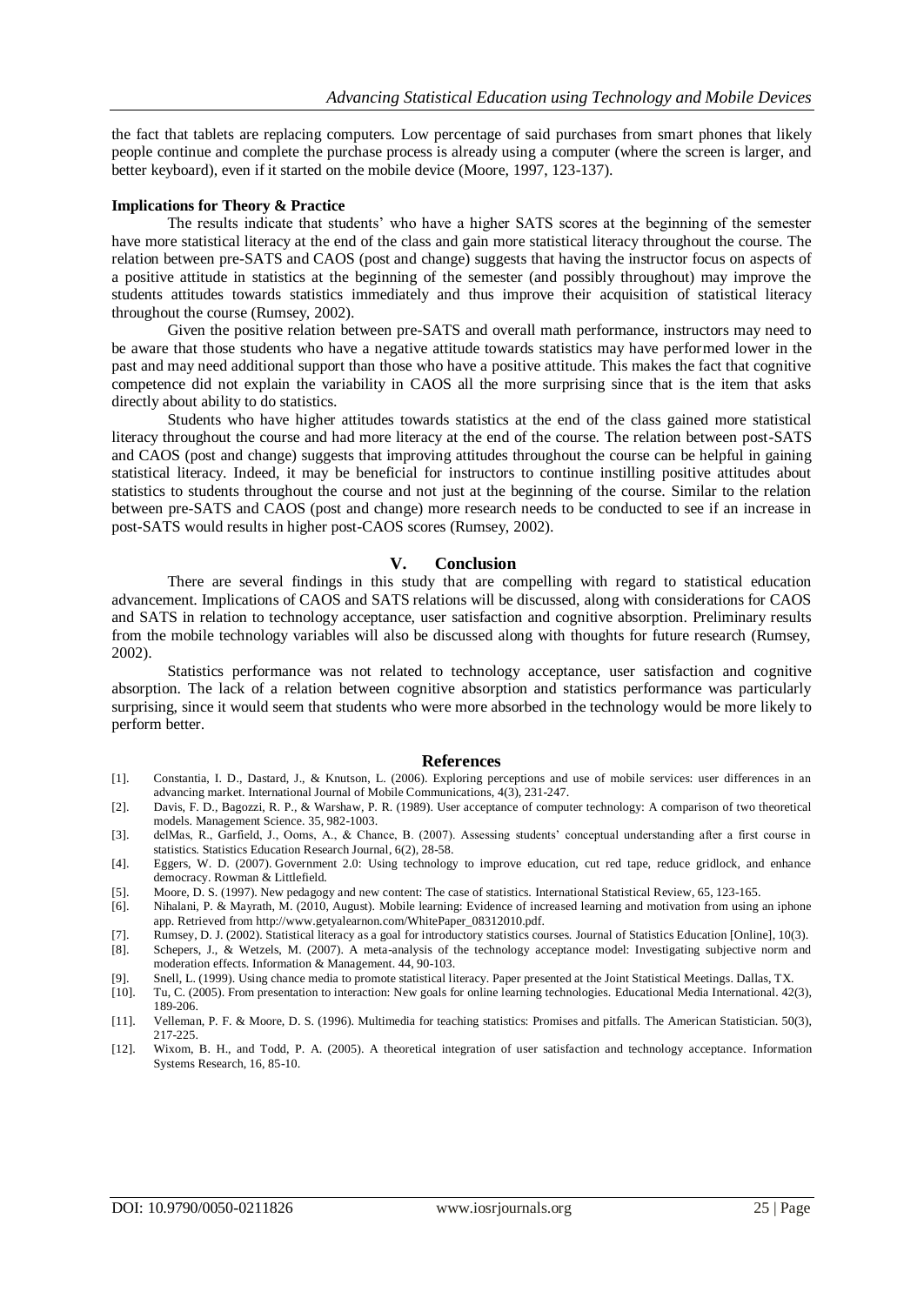the fact that tablets are replacing computers. Low percentage of said purchases from smart phones that likely people continue and complete the purchase process is already using a computer (where the screen is larger, and better keyboard), even if it started on the mobile device (Moore, 1997, 123-137).

#### **Implications for Theory & Practice**

The results indicate that students' who have a higher SATS scores at the beginning of the semester have more statistical literacy at the end of the class and gain more statistical literacy throughout the course. The relation between pre-SATS and CAOS (post and change) suggests that having the instructor focus on aspects of a positive attitude in statistics at the beginning of the semester (and possibly throughout) may improve the students attitudes towards statistics immediately and thus improve their acquisition of statistical literacy throughout the course (Rumsey, 2002).

Given the positive relation between pre-SATS and overall math performance, instructors may need to be aware that those students who have a negative attitude towards statistics may have performed lower in the past and may need additional support than those who have a positive attitude. This makes the fact that cognitive competence did not explain the variability in CAOS all the more surprising since that is the item that asks directly about ability to do statistics.

Students who have higher attitudes towards statistics at the end of the class gained more statistical literacy throughout the course and had more literacy at the end of the course. The relation between post-SATS and CAOS (post and change) suggests that improving attitudes throughout the course can be helpful in gaining statistical literacy. Indeed, it may be beneficial for instructors to continue instilling positive attitudes about statistics to students throughout the course and not just at the beginning of the course. Similar to the relation between pre-SATS and CAOS (post and change) more research needs to be conducted to see if an increase in post-SATS would results in higher post-CAOS scores (Rumsey, 2002).

#### **V. Conclusion**

There are several findings in this study that are compelling with regard to statistical education advancement. Implications of CAOS and SATS relations will be discussed, along with considerations for CAOS and SATS in relation to technology acceptance, user satisfaction and cognitive absorption. Preliminary results from the mobile technology variables will also be discussed along with thoughts for future research (Rumsey, 2002).

Statistics performance was not related to technology acceptance, user satisfaction and cognitive absorption. The lack of a relation between cognitive absorption and statistics performance was particularly surprising, since it would seem that students who were more absorbed in the technology would be more likely to perform better.

#### **References**

- [1]. Constantia, I. D., Dastard, J., & Knutson, L. (2006). Exploring perceptions and use of mobile services: user differences in an advancing market. International Journal of Mobile Communications, 4(3), 231-247.
- [2]. Davis, F. D., Bagozzi, R. P., & Warshaw, P. R. (1989). User acceptance of computer technology: A comparison of two theoretical models. Management Science. 35, 982-1003.
- [3]. delMas, R., Garfield, J., Ooms, A., & Chance, B. (2007). Assessing students' conceptual understanding after a first course in statistics. Statistics Education Research Journal, 6(2), 28-58.
- [4]. Eggers, W. D. (2007). Government 2.0: Using technology to improve education, cut red tape, reduce gridlock, and enhance democracy. Rowman & Littlefield.
- [5]. Moore, D. S. (1997). New pedagogy and new content: The case of statistics. International Statistical Review, 65, 123-165.
- [6]. Nihalani, P. & Mayrath, M. (2010, August). Mobile learning: Evidence of increased learning and motivation from using an iphone app. Retrieved fro[m http://www.getyalearnon.com/WhitePaper\\_08312010.pdf.](http://www.getyalearnon.com/WhitePaper_08312010.pdf)
- [7]. Rumsey, D. J. (2002). Statistical literacy as a goal for introductory statistics courses. Journal of Statistics Education [Online], 10(3).
- [8]. Schepers, J., & Wetzels, M. (2007). A meta-analysis of the technology acceptance model: Investigating subjective norm and moderation effects. Information & Management. 44, 90-103.
- [9]. Snell, L. (1999). Using chance media to promote statistical literacy. Paper presented at the Joint Statistical Meetings. Dallas, TX. [10]. Tu, C. (2005). From presentation to interaction: New goals for online learning
- [10]. Tu, C. (2005). From presentation to interaction: New goals for online learning technologies. Educational Media International. 42(3), 189-206.
- [11]. Velleman, P. F. & Moore, D. S. (1996). Multimedia for teaching statistics: Promises and pitfalls. The American Statistician. 50(3), 217-225.
- [12]. Wixom, B. H., and Todd, P. A. (2005). A theoretical integration of user satisfaction and technology acceptance. Information Systems Research, 16, 85-10.